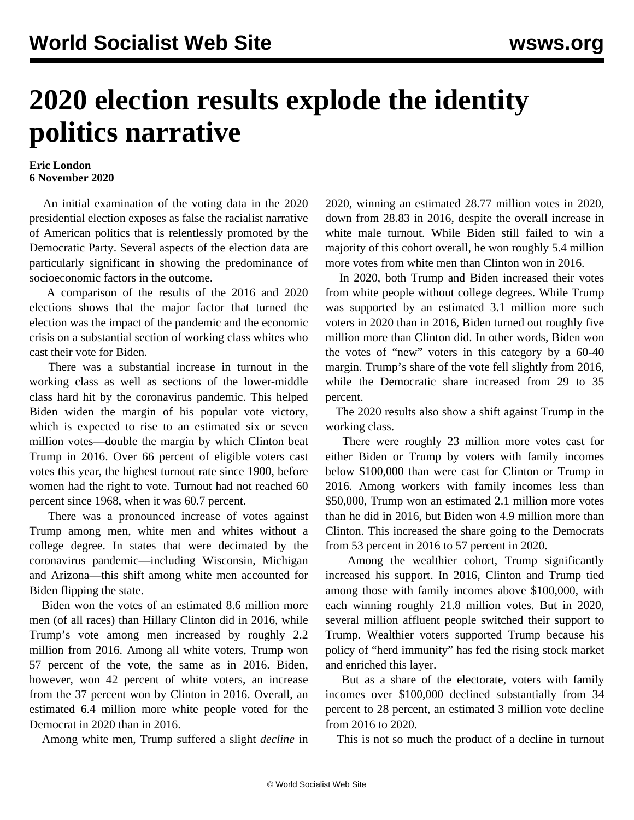## **2020 election results explode the identity politics narrative**

## **Eric London 6 November 2020**

 An initial examination of the voting data in the 2020 presidential election exposes as false the racialist narrative of American politics that is relentlessly promoted by the Democratic Party. Several aspects of the election data are particularly significant in showing the predominance of socioeconomic factors in the outcome.

 A comparison of the results of the 2016 and 2020 elections shows that the major factor that turned the election was the impact of the pandemic and the economic crisis on a substantial section of working class whites who cast their vote for Biden.

 There was a substantial increase in turnout in the working class as well as sections of the lower-middle class hard hit by the coronavirus pandemic. This helped Biden widen the margin of his popular vote victory, which is expected to rise to an estimated six or seven million votes—double the margin by which Clinton beat Trump in 2016. Over 66 percent of eligible voters cast votes this year, the highest turnout rate since 1900, before women had the right to vote. Turnout had not reached 60 percent since 1968, when it was 60.7 percent.

 There was a pronounced increase of votes against Trump among men, white men and whites without a college degree. In states that were decimated by the coronavirus pandemic—including Wisconsin, Michigan and Arizona—this shift among white men accounted for Biden flipping the state.

 Biden won the votes of an estimated 8.6 million more men (of all races) than Hillary Clinton did in 2016, while Trump's vote among men increased by roughly 2.2 million from 2016. Among all white voters, Trump won 57 percent of the vote, the same as in 2016. Biden, however, won 42 percent of white voters, an increase from the 37 percent won by Clinton in 2016. Overall, an estimated 6.4 million more white people voted for the Democrat in 2020 than in 2016.

Among white men, Trump suffered a slight *decline* in

2020, winning an estimated 28.77 million votes in 2020, down from 28.83 in 2016, despite the overall increase in white male turnout. While Biden still failed to win a majority of this cohort overall, he won roughly 5.4 million more votes from white men than Clinton won in 2016.

 In 2020, both Trump and Biden increased their votes from white people without college degrees. While Trump was supported by an estimated 3.1 million more such voters in 2020 than in 2016, Biden turned out roughly five million more than Clinton did. In other words, Biden won the votes of "new" voters in this category by a 60-40 margin. Trump's share of the vote fell slightly from 2016, while the Democratic share increased from 29 to 35 percent.

 The 2020 results also show a shift against Trump in the working class.

 There were roughly 23 million more votes cast for either Biden or Trump by voters with family incomes below \$100,000 than were cast for Clinton or Trump in 2016. Among workers with family incomes less than \$50,000, Trump won an estimated 2.1 million more votes than he did in 2016, but Biden won 4.9 million more than Clinton. This increased the share going to the Democrats from 53 percent in 2016 to 57 percent in 2020.

 Among the wealthier cohort, Trump significantly increased his support. In 2016, Clinton and Trump tied among those with family incomes above \$100,000, with each winning roughly 21.8 million votes. But in 2020, several million affluent people switched their support to Trump. Wealthier voters supported Trump because his policy of "herd immunity" has fed the rising stock market and enriched this layer.

 But as a share of the electorate, voters with family incomes over \$100,000 declined substantially from 34 percent to 28 percent, an estimated 3 million vote decline from 2016 to 2020.

This is not so much the product of a decline in turnout